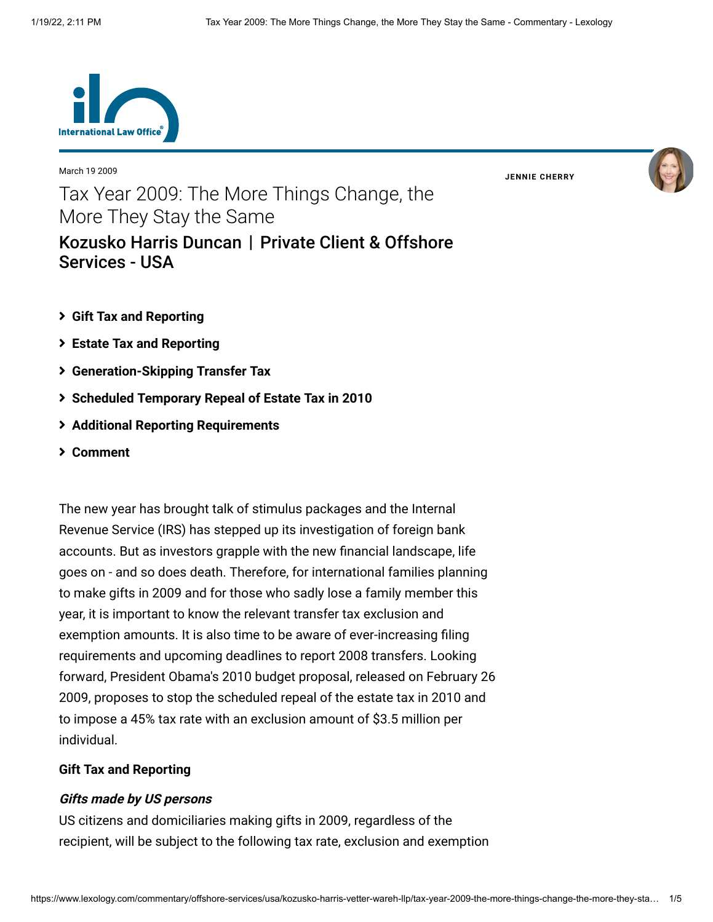

March 19 2009

**JENNIE [CHERRY](https://www.lexology.com/23364/author/Jennie_Cherry/)**



# Tax Year 2009: The More Things Change, the More They Stay the Same [Kozusko Harris Duncan](https://www.lexology.com/contributors/23364) | Private Client & Offshore Services - USA

- **[Gift Tax and Reporting](#page-0-0)**
- **[Estate Tax and Reporting](#page-1-0)**
- **[Generation-Skipping Transfer Tax](#page-2-0)**
- **[Scheduled Temporary Repeal of Estate Tax in 2010](#page-2-1)**
- **[Additional Reporting Requirements](#page-2-2)**
- **[Comment](#page-4-0)**

The new year has brought talk of stimulus packages and the Internal Revenue Service (IRS) has stepped up its investigation of foreign bank accounts. But as investors grapple with the new financial landscape, life goes on - and so does death. Therefore, for international families planning to make gifts in 2009 and for those who sadly lose a family member this year, it is important to know the relevant transfer tax exclusion and exemption amounts. It is also time to be aware of ever-increasing filing requirements and upcoming deadlines to report 2008 transfers. Looking forward, President Obama's 2010 budget proposal, released on February 26 2009, proposes to stop the scheduled repeal of the estate tax in 2010 and to impose a 45% tax rate with an exclusion amount of \$3.5 million per individual.

## <span id="page-0-0"></span>**Gift Tax and Reporting**

#### **Gifts made by US persons**

US citizens and domiciliaries making gifts in 2009, regardless of the recipient, will be subject to the following tax rate, exclusion and exemption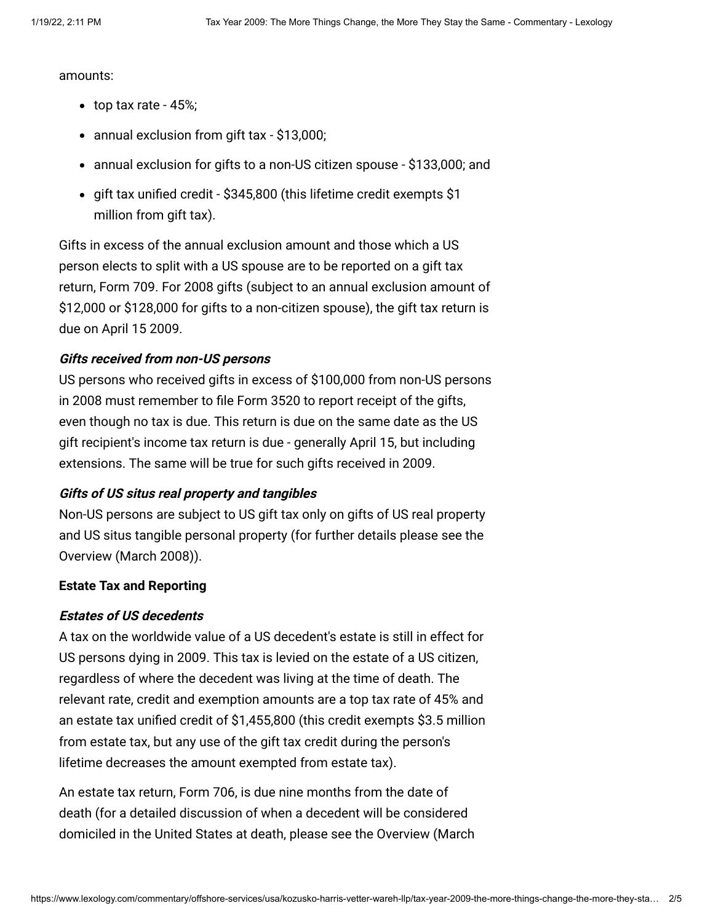amounts:

- $\bullet$  top tax rate 45%;
- annual exclusion from gift tax \$13,000;
- annual exclusion for gifts to a non-US citizen spouse \$133,000; and
- gift tax unified credit \$345,800 (this lifetime credit exempts \$1 million from gift tax).

Gifts in excess of the annual exclusion amount and those which a US person elects to split with a US spouse are to be reported on a gift tax return, Form 709. For 2008 gifts (subject to an annual exclusion amount of \$12,000 or \$128,000 for gifts to a non-citizen spouse), the gift tax return is due on April 15 2009.

## **Gifts received from non-US persons**

US persons who received gifts in excess of \$100,000 from non-US persons in 2008 must remember to file Form 3520 to report receipt of the gifts, even though no tax is due. This return is due on the same date as the US gift recipient's income tax return is due - generally April 15, but including extensions. The same will be true for such gifts received in 2009.

## **Gifts of US situs real property and tangibles**

Non-US persons are subject to US gift tax only on gifts of US real property and US situs tangible personal property (for further details please see the [Overview \(March 2008\)\)](http://www.internationallawoffice.com/Newsletters/detail.aspx?g=559c31e6-a3f7-4cd8-9340-e15e6c077bb2).

## <span id="page-1-0"></span>**Estate Tax and Reporting**

## **Estates of US decedents**

A tax on the worldwide value of a US decedent's estate is still in effect for US persons dying in 2009. This tax is levied on the estate of a US citizen, regardless of where the decedent was living at the time of death. The relevant rate, credit and exemption amounts are a top tax rate of 45% and an estate tax unified credit of \$1,455,800 (this credit exempts \$3.5 million from estate tax, but any use of the gift tax credit during the person's lifetime decreases the amount exempted from estate tax).

An estate tax return, Form 706, is due nine months from the date of death (for a detailed discussion of when a decedent will be considered [domiciled in the United States at death, please see the Overview \(March](http://www.internationallawoffice.com/Newsletters/detail.aspx?g=559c31e6-a3f7-4cd8-9340-e15e6c077bb2)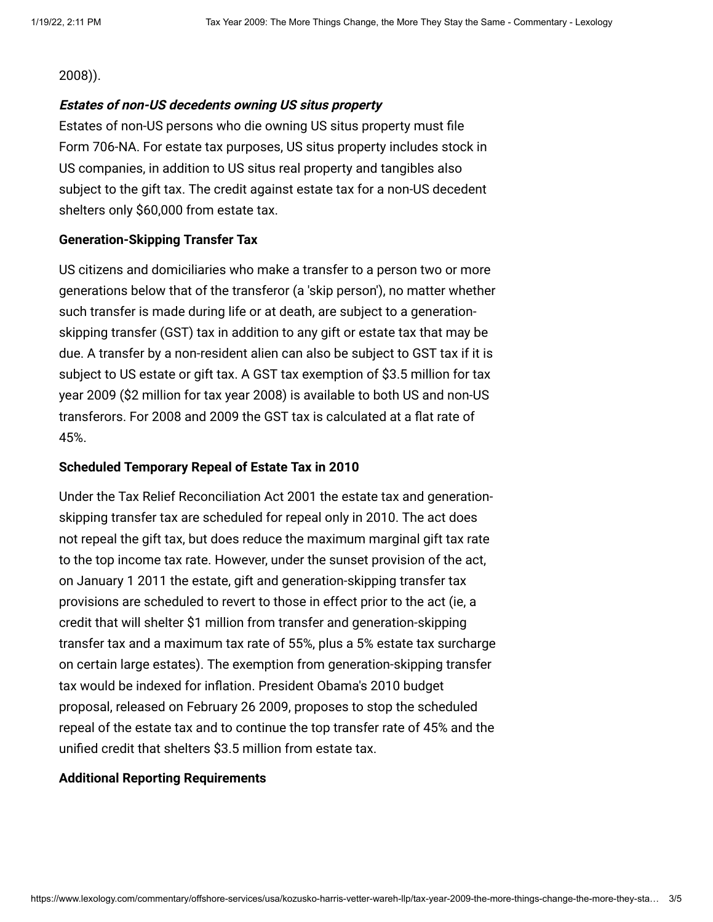#### [2008\)\).](http://www.internationallawoffice.com/Newsletters/detail.aspx?g=559c31e6-a3f7-4cd8-9340-e15e6c077bb2)

## **Estates of non-US decedents owning US situs property**

Estates of non-US persons who die owning US situs property must file Form 706-NA. For estate tax purposes, US situs property includes stock in US companies, in addition to US situs real property and tangibles also subject to the gift tax. The credit against estate tax for a non-US decedent shelters only \$60,000 from estate tax.

## <span id="page-2-0"></span>**Generation-Skipping Transfer Tax**

US citizens and domiciliaries who make a transfer to a person two or more generations below that of the transferor (a 'skip person'), no matter whether such transfer is made during life or at death, are subject to a generationskipping transfer (GST) tax in addition to any gift or estate tax that may be due. A transfer by a non-resident alien can also be subject to GST tax if it is subject to US estate or gift tax. A GST tax exemption of \$3.5 million for tax year 2009 (\$2 million for tax year 2008) is available to both US and non-US transferors. For 2008 and 2009 the GST tax is calculated at a flat rate of 45%.

## <span id="page-2-1"></span>**Scheduled Temporary Repeal of Estate Tax in 2010**

Under the Tax Relief Reconciliation Act 2001 the estate tax and generationskipping transfer tax are scheduled for repeal only in 2010. The act does not repeal the gift tax, but does reduce the maximum marginal gift tax rate to the top income tax rate. However, under the sunset provision of the act, on January 1 2011 the estate, gift and generation-skipping transfer tax provisions are scheduled to revert to those in effect prior to the act (ie, a credit that will shelter \$1 million from transfer and generation-skipping transfer tax and a maximum tax rate of 55%, plus a 5% estate tax surcharge on certain large estates). The exemption from generation-skipping transfer tax would be indexed for inflation. President Obama's 2010 budget proposal, released on February 26 2009, proposes to stop the scheduled repeal of the estate tax and to continue the top transfer rate of 45% and the unified credit that shelters \$3.5 million from estate tax.

## <span id="page-2-2"></span>**Additional Reporting Requirements**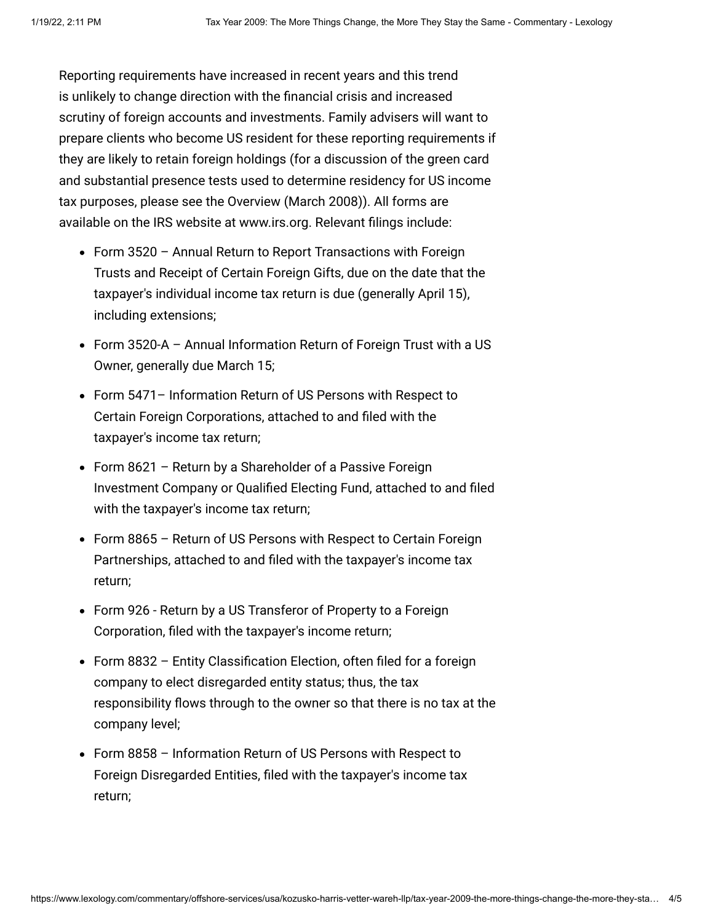Reporting requirements have increased in recent years and this trend is unlikely to change direction with the financial crisis and increased scrutiny of foreign accounts and investments. Family advisers will want to prepare clients who become US resident for these reporting requirements if they are likely to retain foreign holdings (for a discussion of the green card and substantial presence tests used to determine residency for US income tax purposes, please see the [Overview \(March 2008\)\)](http://www.internationallawoffice.com/Newsletters/detail.aspx?g=559c31e6-a3f7-4cd8-9340-e15e6c077bb2). All forms are available on the IRS website at [www.irs.org](http://www.irs.org/). Relevant filings include:

- Form 3520 Annual Return to Report Transactions with Foreign Trusts and Receipt of Certain Foreign Gifts, due on the date that the taxpayer's individual income tax return is due (generally April 15), including extensions;
- Form 3520-A Annual Information Return of Foreign Trust with a US Owner, generally due March 15;
- Form 5471– Information Return of US Persons with Respect to Certain Foreign Corporations, attached to and filed with the taxpayer's income tax return;
- Form 8621 Return by a Shareholder of a Passive Foreign Investment Company or Qualified Electing Fund, attached to and filed with the taxpayer's income tax return;
- Form 8865 Return of US Persons with Respect to Certain Foreign Partnerships, attached to and filed with the taxpayer's income tax return;
- Form 926 Return by a US Transferor of Property to a Foreign Corporation, filed with the taxpayer's income return;
- Form 8832 Entity Classification Election, often filed for a foreign company to elect disregarded entity status; thus, the tax responsibility flows through to the owner so that there is no tax at the company level;
- Form 8858 Information Return of US Persons with Respect to Foreign Disregarded Entities, filed with the taxpayer's income tax return;